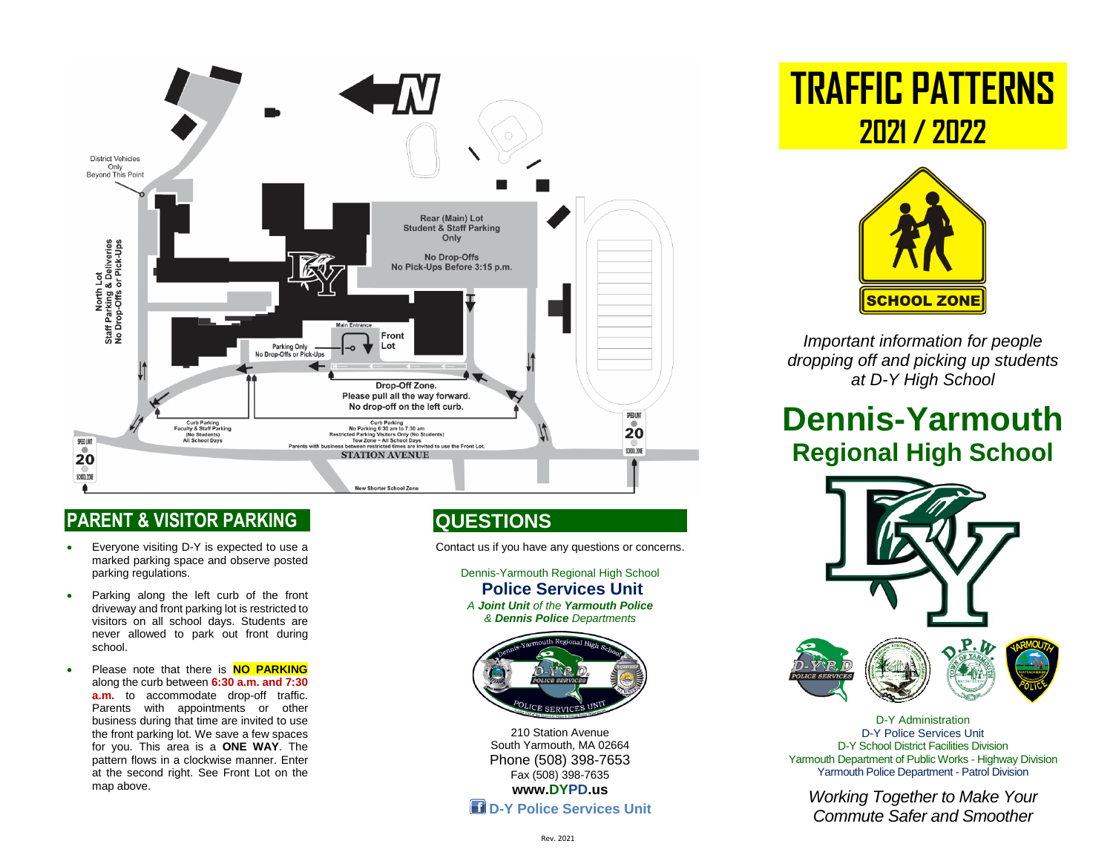

#### **PARENT & VISITOR PARKING**

- Everyone visiting D-Y is expected to use a marked parking space and observe posted parking regulations.
- Parking along the left curb of the front driveway and front parking lot is restricted to visitors on all school days. Students are never allowed to park out front during school.
- Please note that there is **NO PARKING** along the curb between **6:30 a.m. and 7:30 a.m.** to accommodate drop-off traffic. Parents with appointments or other business during that time are invited to use the front parking lot. We save a few spaces for you. This area is a **ONE WAY**. The pattern flows in a clockwise manner. Enter at the second right. See Front Lot on the map above.

# **QUESTIONS**

Contact us if you have any questions or concerns.

Dennis-Yarmouth Regional High School **Police Services Unit** *A Joint Unit of the Yarmouth Police & Dennis Police Departments*



210 Station Avenue South Yarmouth, MA 02664 Phone (508) 398-7653 Fax (508) 398-7635 **[www.DYPD.us](http://www.dypd.us/)  D-Y Police Services Unit**  **TRAFFIC PATTERNS 2021 / 2022**



*Important information for people dropping off and picking up students at D-Y High School* 

# **Dennis-Yarmouth Regional High School**



D-Y Administration D-Y Police Services Unit D-Y School District Facilities Division Yarmouth Department of Public Works - Highway Division Yarmouth Police Department - Patrol Division

*Working Together to Make Your Commute Safer and Smoother*